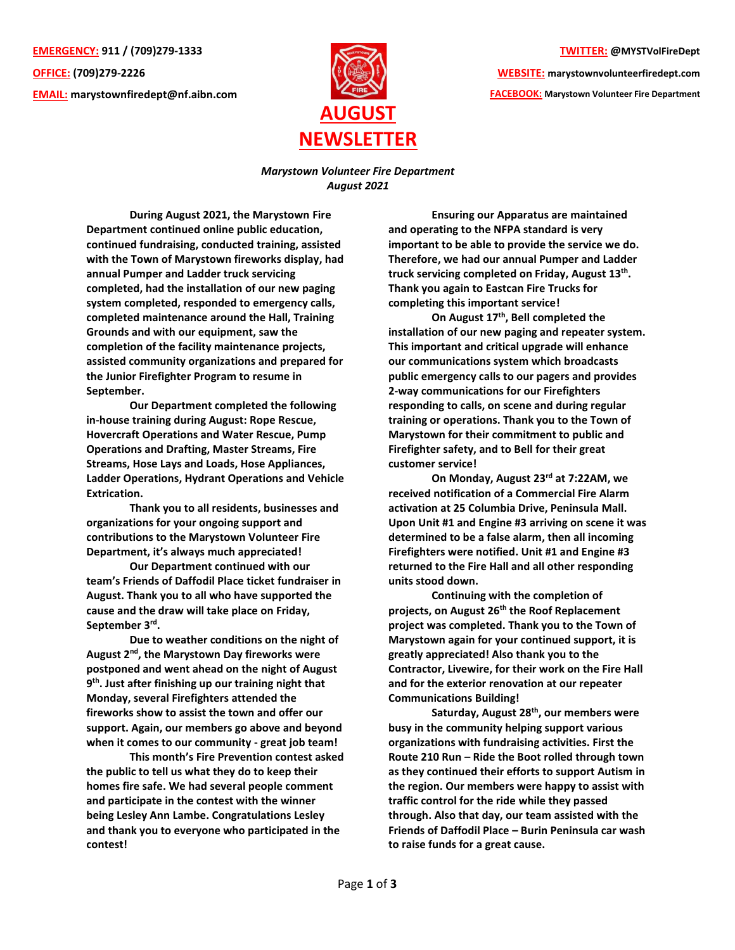**EMERGENCY: 911 / (709)279-1333 OFFICE: (709)279-2226 EMAIL: [marystownfiredept@nf.aibn.com](mailto:marystownfiredept@nf.aibn.com)**



## **TWITTER: @MYSTVolFireDept**

**WEBSITE: marystownvolunteerfiredept.com FACEBOOK: Marystown Volunteer Fire Department**

*Marystown Volunteer Fire Department August 2021*

**During August 2021, the Marystown Fire Department continued online public education, continued fundraising, conducted training, assisted with the Town of Marystown fireworks display, had annual Pumper and Ladder truck servicing completed, had the installation of our new paging system completed, responded to emergency calls, completed maintenance around the Hall, Training Grounds and with our equipment, saw the completion of the facility maintenance projects, assisted community organizations and prepared for the Junior Firefighter Program to resume in September.** 

**Our Department completed the following in-house training during August: Rope Rescue, Hovercraft Operations and Water Rescue, Pump Operations and Drafting, Master Streams, Fire Streams, Hose Lays and Loads, Hose Appliances, Ladder Operations, Hydrant Operations and Vehicle Extrication.**

**Thank you to all residents, businesses and organizations for your ongoing support and contributions to the Marystown Volunteer Fire Department, it's always much appreciated!**

**Our Department continued with our team's Friends of Daffodil Place ticket fundraiser in August. Thank you to all who have supported the cause and the draw will take place on Friday, September 3rd .** 

**Due to weather conditions on the night of August 2nd, the Marystown Day fireworks were postponed and went ahead on the night of August 9 th. Just after finishing up our training night that Monday, several Firefighters attended the fireworks show to assist the town and offer our support. Again, our members go above and beyond when it comes to our community - great job team!**

**This month's Fire Prevention contest asked the public to tell us what they do to keep their homes fire safe. We had several people comment and participate in the contest with the winner being Lesley Ann Lambe. Congratulations Lesley and thank you to everyone who participated in the contest!**

**Ensuring our Apparatus are maintained and operating to the NFPA standard is very important to be able to provide the service we do. Therefore, we had our annual Pumper and Ladder truck servicing completed on Friday, August 13th . Thank you again to Eastcan Fire Trucks for completing this important service!**

**On August 17 th , Bell completed the installation of our new paging and repeater system. This important and critical upgrade will enhance our communications system which broadcasts public emergency calls to our pagers and provides 2-way communications for our Firefighters responding to calls, on scene and during regular training or operations. Thank you to the Town of Marystown for their commitment to public and Firefighter safety, and to Bell for their great customer service!**

**On Monday, August 23rd at 7:22AM, we received notification of a Commercial Fire Alarm activation at 25 Columbia Drive, Peninsula Mall. Upon Unit #1 and Engine #3 arriving on scene it was determined to be a false alarm, then all incoming Firefighters were notified. Unit #1 and Engine #3 returned to the Fire Hall and all other responding units stood down.** 

**Continuing with the completion of projects, on August 26th the Roof Replacement project was completed. Thank you to the Town of Marystown again for your continued support, it is greatly appreciated! Also thank you to the Contractor, Livewire, for their work on the Fire Hall and for the exterior renovation at our repeater Communications Building!**

**Saturday, August 28th , our members were busy in the community helping support various organizations with fundraising activities. First the Route 210 Run – Ride the Boot rolled through town as they continued their efforts to support Autism in the region. Our members were happy to assist with traffic control for the ride while they passed through. Also that day, our team assisted with the Friends of Daffodil Place – Burin Peninsula car wash to raise funds for a great cause.**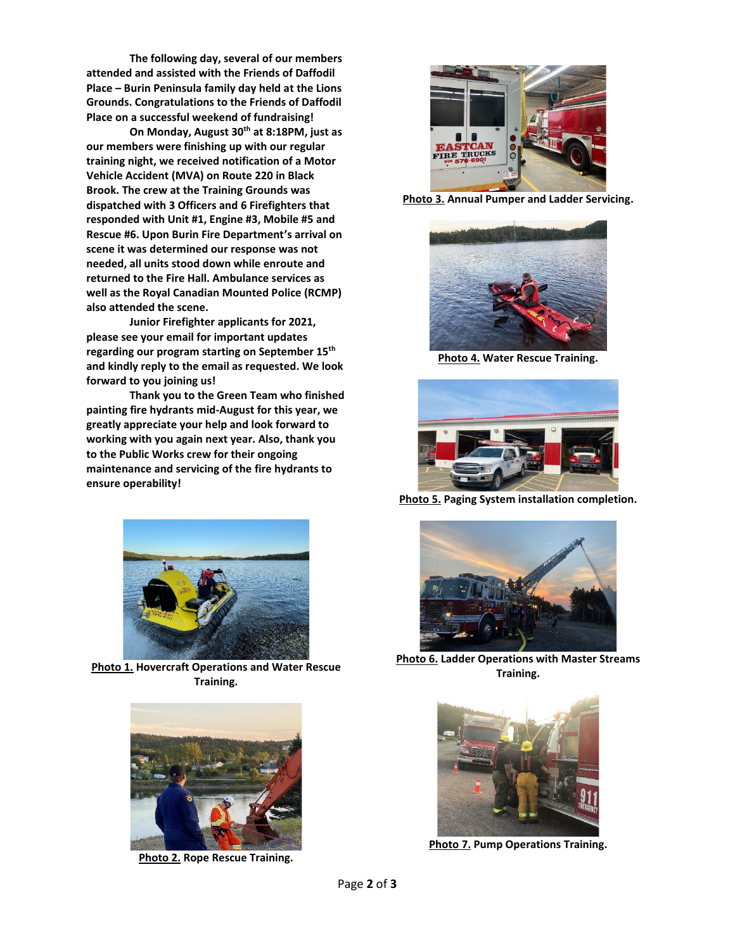**The following day, several of our members attended and assisted with the Friends of Daffodil Place – Burin Peninsula family day held at the Lions Grounds. Congratulations to the Friends of Daffodil Place on a successful weekend of fundraising!**

**On Monday, August 30th at 8:18PM, just as our members were finishing up with our regular training night, we received notification of a Motor Vehicle Accident (MVA) on Route 220 in Black Brook. The crew at the Training Grounds was dispatched with 3 Officers and 6 Firefighters that responded with Unit #1, Engine #3, Mobile #5 and Rescue #6. Upon Burin Fire Department's arrival on scene it was determined our response was not needed, all units stood down while enroute and returned to the Fire Hall. Ambulance services as well as the Royal Canadian Mounted Police (RCMP) also attended the scene.** 

**Junior Firefighter applicants for 2021, please see your email for important updates regarding our program starting on September 15th and kindly reply to the email as requested. We look forward to you joining us!**

**Thank you to the Green Team who finished painting fire hydrants mid-August for this year, we greatly appreciate your help and look forward to working with you again next year. Also, thank you to the Public Works crew for their ongoing maintenance and servicing of the fire hydrants to ensure operability!**



**Photo 1. Hovercraft Operations and Water Rescue Training.**



**Photo 2. Rope Rescue Training.**



**Photo 3. Annual Pumper and Ladder Servicing.**



**Photo 4. Water Rescue Training.**



**Photo 5. Paging System installation completion.**



**Photo 6. Ladder Operations with Master Streams Training.**



**Photo 7. Pump Operations Training.**